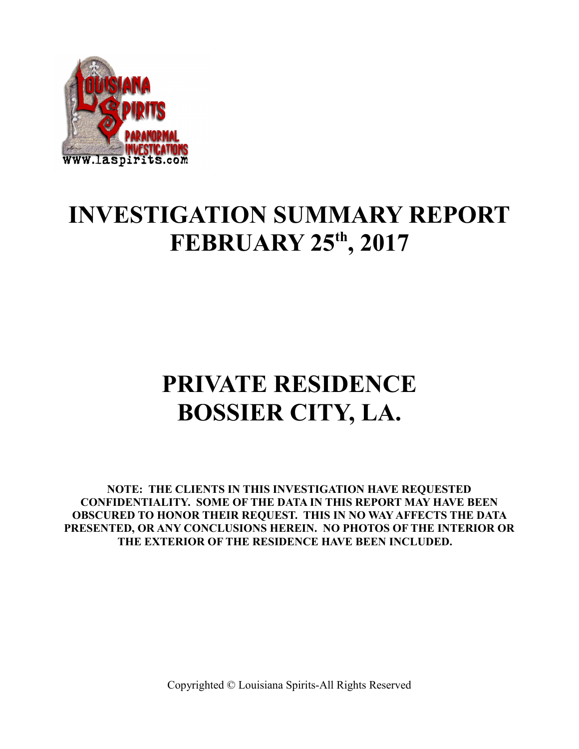

## **INVESTIGATION SUMMARY REPORT FEBRUARY 25th, 2017**

# **PRIVATE RESIDENCE BOSSIER CITY, LA.**

**NOTE: THE CLIENTS IN THIS INVESTIGATION HAVE REQUESTED CONFIDENTIALITY. SOME OF THE DATA IN THIS REPORT MAY HAVE BEEN OBSCURED TO HONOR THEIR REQUEST. THIS IN NO WAY AFFECTS THE DATA PRESENTED, OR ANY CONCLUSIONS HEREIN. NO PHOTOS OF THE INTERIOR OR THE EXTERIOR OF THE RESIDENCE HAVE BEEN INCLUDED.**

Copyrighted © Louisiana Spirits-All Rights Reserved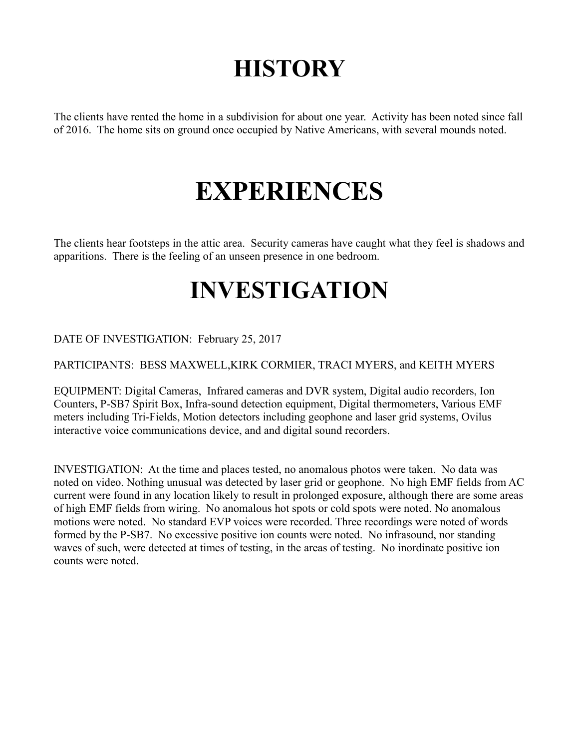# **HISTORY**

The clients have rented the home in a subdivision for about one year. Activity has been noted since fall of 2016. The home sits on ground once occupied by Native Americans, with several mounds noted.

# **EXPERIENCES**

The clients hear footsteps in the attic area. Security cameras have caught what they feel is shadows and apparitions. There is the feeling of an unseen presence in one bedroom.

## **INVESTIGATION**

#### DATE OF INVESTIGATION: February 25, 2017

#### PARTICIPANTS: BESS MAXWELL,KIRK CORMIER, TRACI MYERS, and KEITH MYERS

EQUIPMENT: Digital Cameras, Infrared cameras and DVR system, Digital audio recorders, Ion Counters, P-SB7 Spirit Box, Infra-sound detection equipment, Digital thermometers, Various EMF meters including Tri-Fields, Motion detectors including geophone and laser grid systems, Ovilus interactive voice communications device, and and digital sound recorders.

INVESTIGATION: At the time and places tested, no anomalous photos were taken. No data was noted on video. Nothing unusual was detected by laser grid or geophone. No high EMF fields from AC current were found in any location likely to result in prolonged exposure, although there are some areas of high EMF fields from wiring. No anomalous hot spots or cold spots were noted. No anomalous motions were noted. No standard EVP voices were recorded. Three recordings were noted of words formed by the P-SB7. No excessive positive ion counts were noted. No infrasound, nor standing waves of such, were detected at times of testing, in the areas of testing. No inordinate positive ion counts were noted.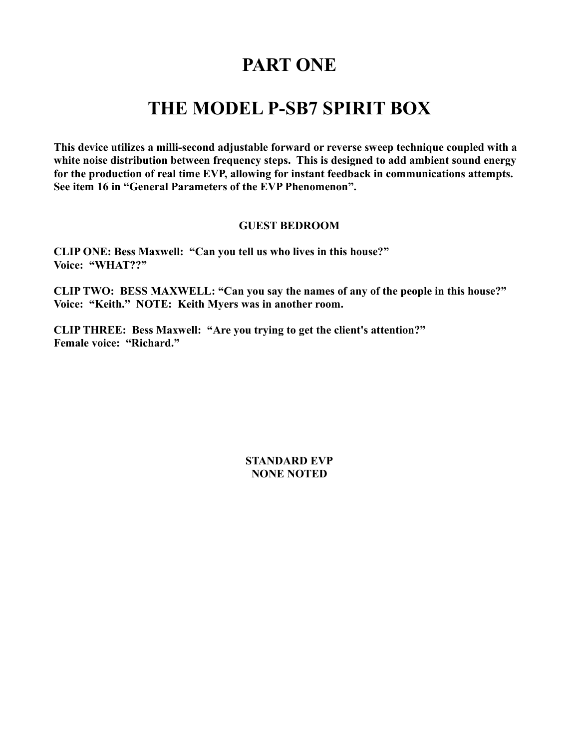### **PART ONE**

### **THE MODEL P-SB7 SPIRIT BOX**

**This device utilizes a milli-second adjustable forward or reverse sweep technique coupled with a white noise distribution between frequency steps. This is designed to add ambient sound energy for the production of real time EVP, allowing for instant feedback in communications attempts. See item 16 in "General Parameters of the EVP Phenomenon".** 

#### **GUEST BEDROOM**

**CLIP ONE: Bess Maxwell: "Can you tell us who lives in this house?" Voice: "WHAT??"**

**CLIP TWO: BESS MAXWELL: "Can you say the names of any of the people in this house?" Voice: "Keith." NOTE: Keith Myers was in another room.**

**CLIP THREE: Bess Maxwell: "Are you trying to get the client's attention?" Female voice: "Richard."**

> **STANDARD EVP NONE NOTED**